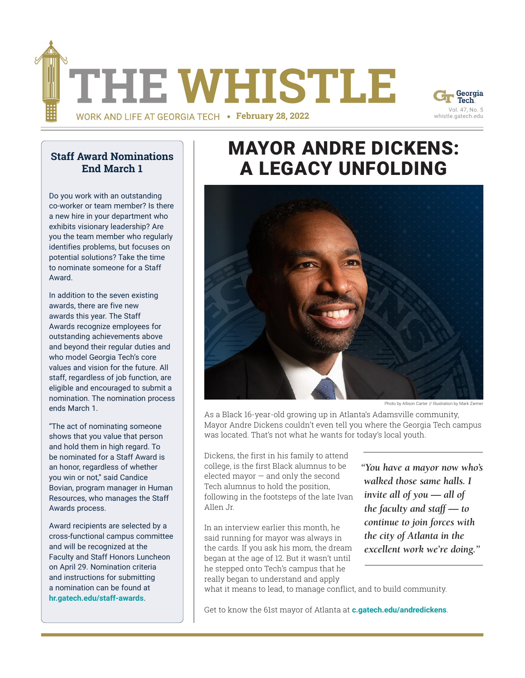



#### **[Staff Award Nominations](https://hr.gatech.edu/news/staff-award-nominations-end-march-1)  [End March 1](https://hr.gatech.edu/news/staff-award-nominations-end-march-1)**

Do you work with an outstanding co-worker or team member? Is there a new hire in your department who exhibits visionary leadership? Are you the team member who regularly identifies problems, but focuses on potential solutions? Take the time to nominate someone for a Staff Award.

In addition to the seven existing awards, there are five new awards this year. The Staff Awards recognize employees for outstanding achievements above and beyond their regular duties and who model Georgia Tech's core values and vision for the future. All staff, regardless of job function, are eligible and encouraged to submit a nomination. The nomination process ends March 1.

"The act of nominating someone shows that you value that person and hold them in high regard. To be nominated for a Staff Award is an honor, regardless of whether you win or not," said Candice Bovian, program manager in Human Resources, who manages the Staff Awards process.

Award recipients are selected by a cross-functional campus committee and will be recognized at the Faculty and Staff Honors Luncheon on April 29. Nomination criteria and instructions for submitting a nomination can be found at **hr.gatech.edu/staff-awards**.

## [MAYOR ANDRE DICKENS:](https://news.gatech.edu/features/2022/02/legacy-unfolding) A LEGACY UNFOLDING



Photo by Allison Carter // Illustration by Mark Ziemer

As a Black 16-year-old growing up in Atlanta's Adamsville community, Mayor Andre Dickens couldn't even tell you where the Georgia Tech campus was located. That's not what he wants for today's local youth.

Dickens, the first in his family to attend college, is the first Black alumnus to be elected mayor — and only the second Tech alumnus to hold the position, following in the footsteps of the late Ivan Allen Jr.

In an interview earlier this month, he said running for mayor was always in the cards. If you ask his mom, the dream began at the age of 12. But it wasn't until he stepped onto Tech's campus that he really began to understand and apply

*"You have a mayor now who's walked those same halls. I invite all of you — all of the faculty and staff — to continue to join forces with the city of Atlanta in the excellent work we're doing."*

what it means to lead, to manage conflict, and to build community.

Get to know the 61st mayor of Atlanta at **c.gatech.edu/andredickens**.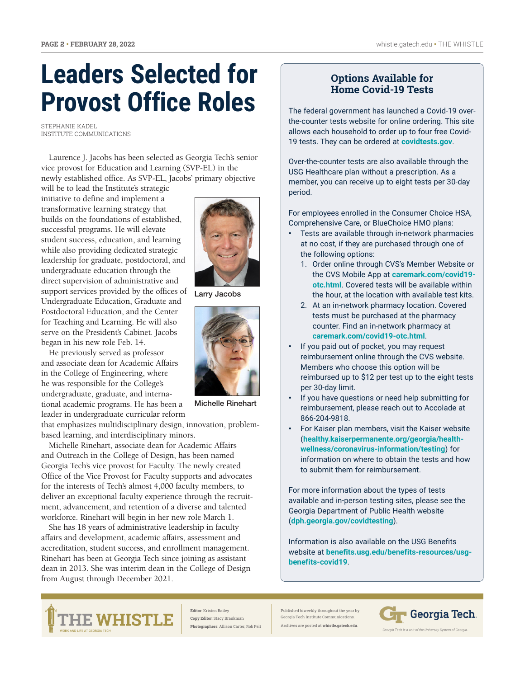## **Leaders Selected for Provost Office Roles**

STEPHANIE KADEL INSTITUTE COMMUNICATIONS

Laurence J. Jacobs has been selected as Georgia Tech's senior vice provost for Education and Learning (SVP-EL) in the newly established office. As SVP-EL, Jacobs' primary objective

will be to lead the Institute's strategic initiative to define and implement a transformative learning strategy that builds on the foundations of established, successful programs. He will elevate student success, education, and learning while also providing dedicated strategic leadership for graduate, postdoctoral, and undergraduate education through the direct supervision of administrative and support services provided by the offices of Undergraduate Education, Graduate and Postdoctoral Education, and the Center for Teaching and Learning. He will also serve on the President's Cabinet. Jacobs began in his new role Feb. 14.

He previously served as professor and associate dean for Academic Affairs in the College of Engineering, where he was responsible for the College's undergraduate, graduate, and international academic programs. He has been a leader in undergraduate curricular reform

that emphasizes multidisciplinary design, innovation, problembased learning, and interdisciplinary minors.

Michelle Rinehart, associate dean for Academic Affairs and Outreach in the College of Design, has been named Georgia Tech's vice provost for Faculty. The newly created Office of the Vice Provost for Faculty supports and advocates for the interests of Tech's almost 4,000 faculty members, to deliver an exceptional faculty experience through the recruitment, advancement, and retention of a diverse and talented workforce. Rinehart will begin in her new role March 1.

She has 18 years of administrative leadership in faculty affairs and development, academic affairs, assessment and accreditation, student success, and enrollment management. Rinehart has been at Georgia Tech since joining as assistant dean in 2013. She was interim dean in the College of Design from August through December 2021.

Larry Jacobs



Michelle Rinehart

#### **Options Available for Home [Covid-19 Tests](https://hr.gatech.edu/news/update-additional-options-covid-19-home-tests)**

The federal government has launched a Covid-19 overthe-counter tests website for online ordering. This site allows each household to order up to four free Covid-19 tests. They can be ordered at **covidtests.gov**.

Over-the-counter tests are also available through the USG Healthcare plan without a prescription. As a member, you can receive up to eight tests per 30-day period.

For employees enrolled in the Consumer Choice HSA, Comprehensive Care, or BlueChoice HMO plans:

- Tests are available through in-network pharmacies at no cost, if they are purchased through one of the following options:
	- 1. Order online through CVS's Member Website or the CVS Mobile App at **caremark.com/covid19 otc.html**. Covered tests will be available within the hour, at the location with available test kits.
	- 2. At an in-network pharmacy location. Covered tests must be purchased at the pharmacy counter. Find an in-network pharmacy at **caremark.com/covid19-otc.html**.
- If you paid out of pocket, you may request reimbursement online through the CVS website. Members who choose this option will be reimbursed up to \$12 per test up to the eight tests per 30-day limit.
- If you have questions or need help submitting for reimbursement, please reach out to Accolade at 866-204-9818.
- For Kaiser plan members, visit the Kaiser website (**healthy.kaiserpermanente.org/georgia/healthwellness/coronavirus-information/testing**) for information on where to obtain the tests and how to submit them for reimbursement.

For more information about the types of tests available and in-person testing sites, please see the Georgia Department of Public Health website (**dph.georgia.gov/covidtesting**).

Information is also available on the USG Benefits website at **benefits.usg.edu/benefits-resources/usgbenefits-covid19**.



**Editor**: Kristen Bailey **Copy Editor**: Stacy Braukman **Photographers**: Allison Carter, Rob Felt Published biweekly throughout the year by Ceorgia Tech Institute Communica Archives are posted at **[whistle.gatech.edu](http://news.gatech.edu/whistle)**.

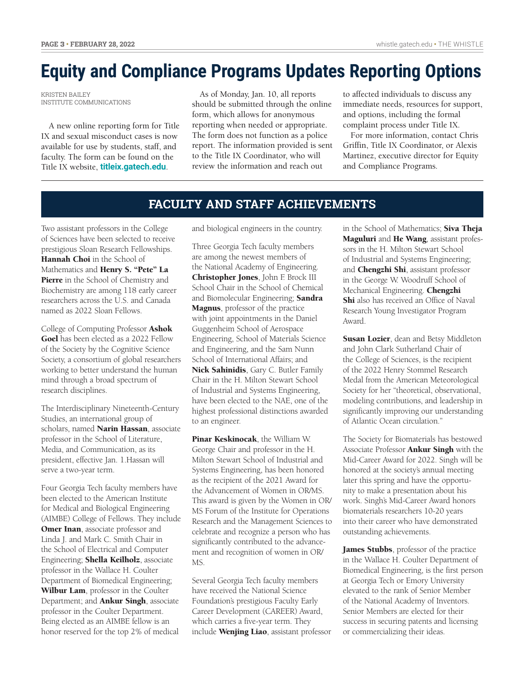### **[Equity and Compliance Programs Updates Reporting Options](https://news.gatech.edu/news/2022/02/03/equity-and-compliance-programs-updates-reporting-options)**

KRISTEN BAILEY INSTITUTE COMMUNICATIONS

A new online reporting form for Title IX and sexual misconduct cases is now available for use by students, staff, and faculty. The form can be found on the Title IX website, **titleix.gatech.edu**.

As of Monday, Jan. 10, all reports should be submitted through the online form, which allows for anonymous reporting when needed or appropriate. The form does not function as a police report. The information provided is sent to the Title IX Coordinator, who will review the information and reach out

to affected individuals to discuss any immediate needs, resources for support, and options, including the formal complaint process under Title IX.

For more information, contact Chris Griffin, Title IX Coordinator, or Alexis Martinez, executive director for Equity and Compliance Programs.

#### **FACULTY AND STAFF ACHIEVEMENTS**

Two assistant professors in the College of Sciences have been selected to receive prestigious Sloan Research Fellowships. Hannah Choi in the School of Mathematics and Henry S. "Pete" La Pierre in the School of Chemistry and Biochemistry are among 118 early career researchers across the U.S. and Canada named as 2022 Sloan Fellows.

College of Computing Professor Ashok Goel has been elected as a 2022 Fellow of the Society by the Cognitive Science Society, a consortium of global researchers working to better understand the human mind through a broad spectrum of research disciplines.

The Interdisciplinary Nineteenth-Century Studies, an international group of scholars, named Narin Hassan, associate professor in the School of Literature, Media, and Communication, as its president, effective Jan. 1.Hassan will serve a two-year term.

Four Georgia Tech faculty members have been elected to the American Institute for Medical and Biological Engineering (AIMBE) College of Fellows. They include **Omer Inan**, associate professor and Linda J. and Mark C. Smith Chair in the School of Electrical and Computer Engineering; Shella Keilholz, associate professor in the Wallace H. Coulter Department of Biomedical Engineering; Wilbur Lam, professor in the Coulter Department; and **Ankur Singh**, associate professor in the Coulter Department. Being elected as an AIMBE fellow is an honor reserved for the top 2% of medical

and biological engineers in the country.

Three Georgia Tech faculty members are among the newest members of the National Academy of Engineering. Christopher Jones, John F. Brock III School Chair in the School of Chemical and Biomolecular Engineering; Sandra Magnus, professor of the practice with joint appointments in the Daniel Guggenheim School of Aerospace Engineering, School of Materials Science and Engineering, and the Sam Nunn School of International Affairs; and Nick Sahinidis, Gary C. Butler Family Chair in the H. Milton Stewart School of Industrial and Systems Engineering, have been elected to the NAE, one of the highest professional distinctions awarded to an engineer.

Pinar Keskinocak, the William W. George Chair and professor in the H. Milton Stewart School of Industrial and Systems Engineering, has been honored as the recipient of the 2021 Award for the Advancement of Women in OR/MS. This award is given by the Women in OR/ MS Forum of the Institute for Operations Research and the Management Sciences to celebrate and recognize a person who has significantly contributed to the advancement and recognition of women in OR/ MS.

Several Georgia Tech faculty members have received the National Science Foundation's prestigious Faculty Early Career Development (CAREER) Award, which carries a five-year term. They include Wenjing Liao, assistant professor in the School of Mathematics; Siva Theja Maguluri and He Wang, assistant professors in the H. Milton Stewart School of Industrial and Systems Engineering; and **Chengzhi Shi**, assistant professor in the George W. Woodruff School of Mechanical Engineering. Chengzhi Shi also has received an Office of Naval Research Young Investigator Program Award.

Susan Lozier, dean and Betsy Middleton and John Clark Sutherland Chair of the College of Sciences, is the recipient of the 2022 Henry Stommel Research Medal from the American Meteorological Society for her "theoretical, observational, modeling contributions, and leadership in significantly improving our understanding of Atlantic Ocean circulation."

The Society for Biomaterials has bestowed Associate Professor **Ankur Singh** with the Mid-Career Award for 2022. Singh will be honored at the society's annual meeting later this spring and have the opportunity to make a presentation about his work. Singh's Mid-Career Award honors biomaterials researchers 10-20 years into their career who have demonstrated outstanding achievements.

James Stubbs, professor of the practice in the Wallace H. Coulter Department of Biomedical Engineering, is the first person at Georgia Tech or Emory University elevated to the rank of Senior Member of the National Academy of Inventors. Senior Members are elected for their success in securing patents and licensing or commercializing their ideas.